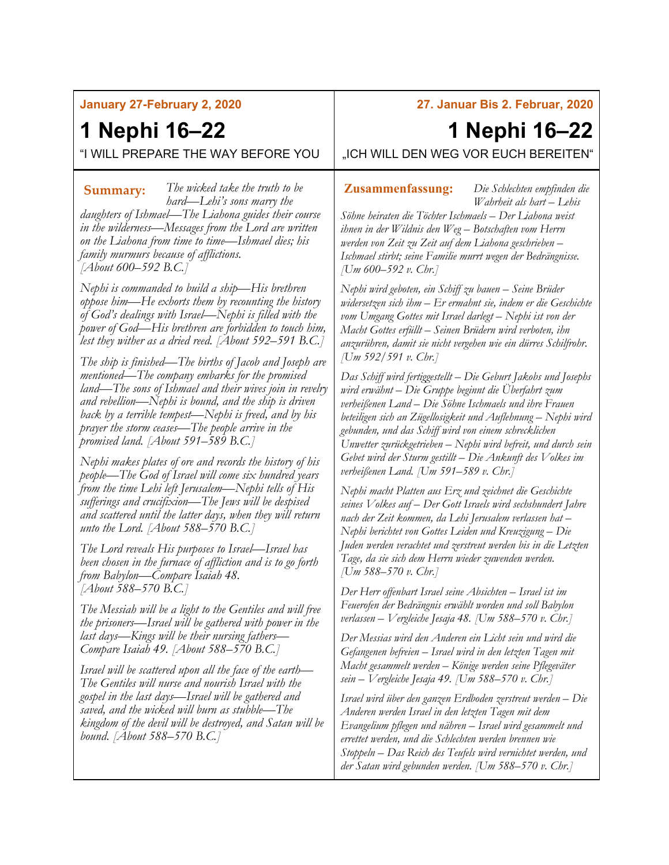#### **January 27-February 2, 2020**

## **1 Nephi 16–22**

"I WILL PREPARE THE WAY BEFORE YOU

*The wicked take the truth to be*  **Summary: Zusammenfassung:***hard—Lehi's sons marry the daughters of Ishmael—The Liahona guides their course in the wilderness—Messages from the Lord are written on the Liahona from time to time—Ishmael dies; his family murmurs because of afflictions. [About 600–592 B.C.]*

*Nephi is commanded to build a ship—His brethren oppose him—He exhorts them by recounting the history of God's dealings with Israel—Nephi is filled with the power of God—His brethren are forbidden to touch him, lest they wither as a dried reed. [About 592–591 B.C.]*

*The ship is finished—The births of Jacob and Joseph are mentioned—The company embarks for the promised land—The sons of Ishmael and their wives join in revelry and rebellion—Nephi is bound, and the ship is driven back by a terrible tempest—Nephi is freed, and by his prayer the storm ceases—The people arrive in the promised land. [About 591–589 B.C.]*

*Nephi makes plates of ore and records the history of his people—The God of Israel will come six hundred years from the time Lehi left Jerusalem—Nephi tells of His sufferings and crucifixion—The Jews will be despised and scattered until the latter days, when they will return unto the Lord. [About 588–570 B.C.]*

*The Lord reveals His purposes to Israel—Israel has been chosen in the furnace of affliction and is to go forth from Babylon—Compare Isaiah 48. [About 588–570 B.C.]*

*The Messiah will be a light to the Gentiles and will free the prisoners—Israel will be gathered with power in the last days—Kings will be their nursing fathers— Compare Isaiah 49. [About 588–570 B.C.]*

*Israel will be scattered upon all the face of the earth— The Gentiles will nurse and nourish Israel with the gospel in the last days—Israel will be gathered and saved, and the wicked will burn as stubble—The kingdom of the devil will be destroyed, and Satan will be bound. [About 588–570 B.C.]*

### **27. Januar Bis 2. Februar, 2020**

# **1 Nephi 16–22**

"ICH WILL DEN WEG VOR EUCH BEREITEN"

*Die Schlechten empfinden die Wahrheit als hart – Lehis* 

*Söhne heiraten die Töchter Ischmaels – Der Liahona weist ihnen in der Wildnis den Weg – Botschaften vom Herrn werden von Zeit zu Zeit auf dem Liahona geschrieben – Ischmael stirbt; seine Familie murrt wegen der Bedrängnisse. [Um 600–592 v. Chr.]*

*Nephi wird geboten, ein Schiff zu bauen – Seine Brüder widersetzen sich ihm – Er ermahnt sie, indem er die Geschichte vom Umgang Gottes mit Israel darlegt – Nephi ist von der Macht Gottes erfüllt – Seinen Brüdern wird verboten, ihn anzurühren, damit sie nicht vergehen wie ein dürres Schilfrohr. [Um 592/591 v. Chr.]*

*Das Schiff wird fertiggestellt – Die Geburt Jakobs und Josephs wird erwähnt – Die Gruppe beginnt die Überfahrt zum verheißenen Land – Die Söhne Ischmaels und ihre Frauen beteiligen sich an Zügellosigkeit und Auflehnung – Nephi wird gebunden, und das Schiff wird von einem schrecklichen Unwetter zurückgetrieben – Nephi wird befreit, und durch sein Gebet wird der Sturm gestillt – Die Ankunft des Volkes im verheißenen Land. [Um 591–589 v. Chr.]*

*Nephi macht Platten aus Erz und zeichnet die Geschichte seines Volkes auf – Der Gott Israels wird sechshundert Jahre nach der Zeit kommen, da Lehi Jerusalem verlassen hat – Nephi berichtet von Gottes Leiden und Kreuzigung – Die Juden werden verachtet und zerstreut werden bis in die Letzten Tage, da sie sich dem Herrn wieder zuwenden werden. [Um 588–570 v. Chr.]*

*Der Herr offenbart Israel seine Absichten – Israel ist im Feuerofen der Bedrängnis erwählt worden und soll Babylon verlassen – Vergleiche Jesaja 48. [Um 588–570 v. Chr.]*

*Der Messias wird den Anderen ein Licht sein und wird die Gefangenen befreien – Israel wird in den letzten Tagen mit Macht gesammelt werden – Könige werden seine Pflegeväter sein – Vergleiche Jesaja 49. [Um 588–570 v. Chr.]*

*Israel wird über den ganzen Erdboden zerstreut werden – Die Anderen werden Israel in den letzten Tagen mit dem Evangelium pflegen und nähren – Israel wird gesammelt und errettet werden, und die Schlechten werden brennen wie Stoppeln – Das Reich des Teufels wird vernichtet werden, und der Satan wird gebunden werden. [Um 588–570 v. Chr.]*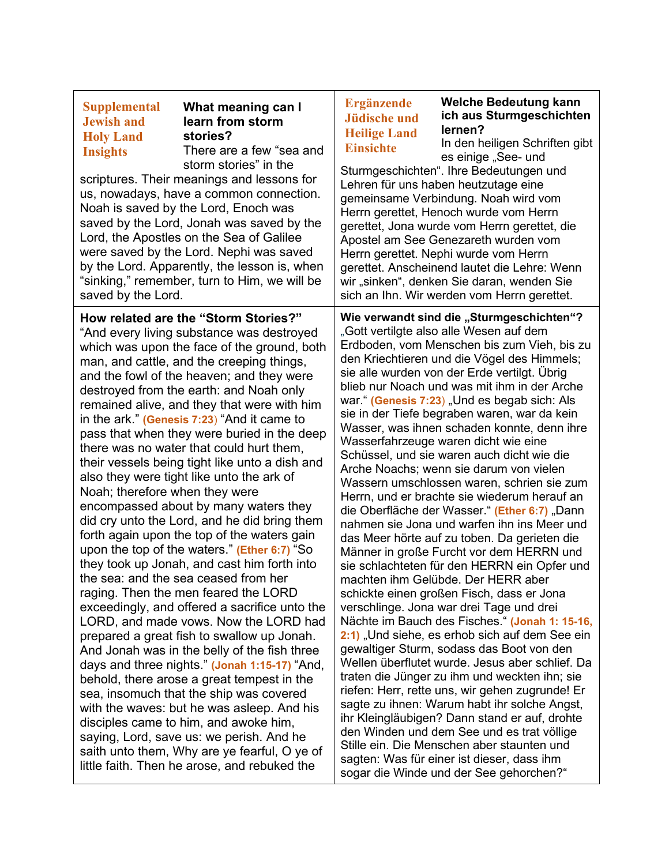| <b>Supplemental</b><br>What meaning can I<br><b>Jewish and</b><br>learn from storm<br>stories?<br><b>Holy Land</b><br>There are a few "sea and<br><b>Insights</b><br>storm stories" in the<br>scriptures. Their meanings and lessons for<br>us, nowadays, have a common connection.<br>Noah is saved by the Lord, Enoch was<br>saved by the Lord, Jonah was saved by the<br>Lord, the Apostles on the Sea of Galilee<br>were saved by the Lord. Nephi was saved<br>by the Lord. Apparently, the lesson is, when<br>"sinking," remember, turn to Him, we will be<br>saved by the Lord.                                                                                                                                                                                                                                                                                                                                                                                                                                                                                                                                                                                                                                                                                                                                                                                                                                                                                                       | <b>Welche Bedeutung kann</b><br><b>Ergänzende</b><br>ich aus Sturmgeschichten<br><b>Jüdische und</b><br>lernen?<br><b>Heilige Land</b><br>In den heiligen Schriften gibt<br><b>Einsichte</b><br>es einige "See- und<br>Sturmgeschichten". Ihre Bedeutungen und<br>Lehren für uns haben heutzutage eine<br>gemeinsame Verbindung. Noah wird vom<br>Herrn gerettet, Henoch wurde vom Herrn<br>gerettet, Jona wurde vom Herrn gerettet, die<br>Apostel am See Genezareth wurden vom<br>Herrn gerettet. Nephi wurde vom Herrn<br>gerettet. Anscheinend lautet die Lehre: Wenn<br>wir "sinken", denken Sie daran, wenden Sie<br>sich an Ihn. Wir werden vom Herrn gerettet.                                                                                                                                                                                                                                                                                                                                                                                                                                                                                                                                                                                                                                                                                                                                                                                                                                                                                                                                                                    |  |
|---------------------------------------------------------------------------------------------------------------------------------------------------------------------------------------------------------------------------------------------------------------------------------------------------------------------------------------------------------------------------------------------------------------------------------------------------------------------------------------------------------------------------------------------------------------------------------------------------------------------------------------------------------------------------------------------------------------------------------------------------------------------------------------------------------------------------------------------------------------------------------------------------------------------------------------------------------------------------------------------------------------------------------------------------------------------------------------------------------------------------------------------------------------------------------------------------------------------------------------------------------------------------------------------------------------------------------------------------------------------------------------------------------------------------------------------------------------------------------------------|-------------------------------------------------------------------------------------------------------------------------------------------------------------------------------------------------------------------------------------------------------------------------------------------------------------------------------------------------------------------------------------------------------------------------------------------------------------------------------------------------------------------------------------------------------------------------------------------------------------------------------------------------------------------------------------------------------------------------------------------------------------------------------------------------------------------------------------------------------------------------------------------------------------------------------------------------------------------------------------------------------------------------------------------------------------------------------------------------------------------------------------------------------------------------------------------------------------------------------------------------------------------------------------------------------------------------------------------------------------------------------------------------------------------------------------------------------------------------------------------------------------------------------------------------------------------------------------------------------------------------------------------|--|
| How related are the "Storm Stories?"<br>"And every living substance was destroyed<br>which was upon the face of the ground, both<br>man, and cattle, and the creeping things,<br>and the fowl of the heaven; and they were<br>destroyed from the earth: and Noah only<br>remained alive, and they that were with him<br>in the ark." (Genesis 7:23) "And it came to<br>pass that when they were buried in the deep<br>there was no water that could hurt them,<br>their vessels being tight like unto a dish and<br>also they were tight like unto the ark of<br>Noah; therefore when they were<br>encompassed about by many waters they<br>did cry unto the Lord, and he did bring them<br>forth again upon the top of the waters gain<br>upon the top of the waters." (Ether 6:7) "So<br>they took up Jonah, and cast him forth into<br>the sea: and the sea ceased from her<br>raging. Then the men feared the LORD<br>exceedingly, and offered a sacrifice unto the<br>LORD, and made vows. Now the LORD had<br>prepared a great fish to swallow up Jonah.<br>And Jonah was in the belly of the fish three<br>days and three nights." (Jonah 1:15-17) "And,<br>behold, there arose a great tempest in the<br>sea, insomuch that the ship was covered<br>with the waves: but he was asleep. And his<br>disciples came to him, and awoke him,<br>saying, Lord, save us: we perish. And he<br>saith unto them, Why are ye fearful, O ye of<br>little faith. Then he arose, and rebuked the | Wie verwandt sind die "Sturmgeschichten"?<br>"Gott vertilgte also alle Wesen auf dem<br>Erdboden, vom Menschen bis zum Vieh, bis zu<br>den Kriechtieren und die Vögel des Himmels;<br>sie alle wurden von der Erde vertilgt. Übrig<br>blieb nur Noach und was mit ihm in der Arche<br>war." (Genesis 7:23) "Und es begab sich: Als<br>sie in der Tiefe begraben waren, war da kein<br>Wasser, was ihnen schaden konnte, denn ihre<br>Wasserfahrzeuge waren dicht wie eine<br>Schüssel, und sie waren auch dicht wie die<br>Arche Noachs; wenn sie darum von vielen<br>Wassern umschlossen waren, schrien sie zum<br>Herrn, und er brachte sie wiederum herauf an<br>die Oberfläche der Wasser." (Ether 6:7) "Dann<br>nahmen sie Jona und warfen ihn ins Meer und<br>das Meer hörte auf zu toben. Da gerieten die<br>Männer in große Furcht vor dem HERRN und<br>sie schlachteten für den HERRN ein Opfer und<br>machten ihm Gelübde. Der HERR aber<br>schickte einen großen Fisch, dass er Jona<br>verschlinge. Jona war drei Tage und drei<br>Nächte im Bauch des Fisches." (Jonah 1: 15-16,<br>2:1) "Und siehe, es erhob sich auf dem See ein<br>gewaltiger Sturm, sodass das Boot von den<br>Wellen überflutet wurde, Jesus aber schlief. Da<br>traten die Jünger zu ihm und weckten ihn; sie<br>riefen: Herr, rette uns, wir gehen zugrunde! Er<br>sagte zu ihnen: Warum habt ihr solche Angst,<br>ihr Kleingläubigen? Dann stand er auf, drohte<br>den Winden und dem See und es trat völlige<br>Stille ein. Die Menschen aber staunten und<br>sagten: Was für einer ist dieser, dass ihm<br>sogar die Winde und der See gehorchen?" |  |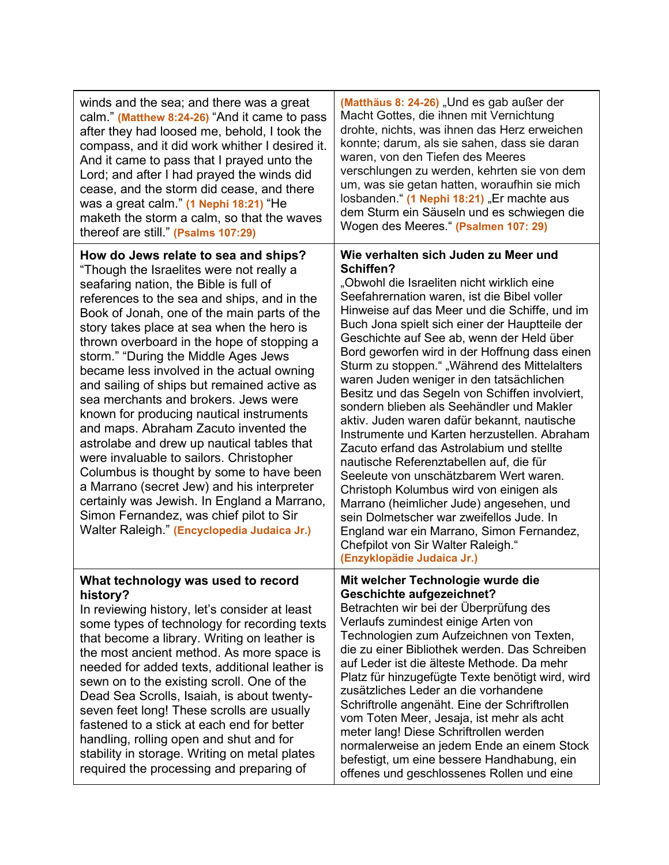| winds and the sea; and there was a great<br>calm." (Matthew 8:24-26) "And it came to pass<br>after they had loosed me, behold, I took the<br>compass, and it did work whither I desired it.<br>And it came to pass that I prayed unto the<br>Lord; and after I had prayed the winds did<br>cease, and the storm did cease, and there<br>was a great calm." (1 Nephi 18:21) "He<br>maketh the storm a calm, so that the waves<br>thereof are still." (Psalms 107:29)                                                                                                                                                                                                                                                                                                                                                                                                                                              | (Matthäus 8: 24-26) "Und es gab außer der<br>Macht Gottes, die ihnen mit Vernichtung<br>drohte, nichts, was ihnen das Herz erweichen<br>konnte; darum, als sie sahen, dass sie daran<br>waren, von den Tiefen des Meeres<br>verschlungen zu werden, kehrten sie von dem<br>um, was sie getan hatten, woraufhin sie mich<br>losbanden." (1 Nephi 18:21) "Er machte aus<br>dem Sturm ein Säuseln und es schwiegen die<br>Wogen des Meeres." (Psalmen 107: 29)                                                                                                                                                                                                                                                                                                                                                                                                                                                                                                                                                                     |
|------------------------------------------------------------------------------------------------------------------------------------------------------------------------------------------------------------------------------------------------------------------------------------------------------------------------------------------------------------------------------------------------------------------------------------------------------------------------------------------------------------------------------------------------------------------------------------------------------------------------------------------------------------------------------------------------------------------------------------------------------------------------------------------------------------------------------------------------------------------------------------------------------------------|---------------------------------------------------------------------------------------------------------------------------------------------------------------------------------------------------------------------------------------------------------------------------------------------------------------------------------------------------------------------------------------------------------------------------------------------------------------------------------------------------------------------------------------------------------------------------------------------------------------------------------------------------------------------------------------------------------------------------------------------------------------------------------------------------------------------------------------------------------------------------------------------------------------------------------------------------------------------------------------------------------------------------------|
| How do Jews relate to sea and ships?<br>"Though the Israelites were not really a<br>seafaring nation, the Bible is full of<br>references to the sea and ships, and in the<br>Book of Jonah, one of the main parts of the<br>story takes place at sea when the hero is<br>thrown overboard in the hope of stopping a<br>storm." "During the Middle Ages Jews<br>became less involved in the actual owning<br>and sailing of ships but remained active as<br>sea merchants and brokers. Jews were<br>known for producing nautical instruments<br>and maps. Abraham Zacuto invented the<br>astrolabe and drew up nautical tables that<br>were invaluable to sailors. Christopher<br>Columbus is thought by some to have been<br>a Marrano (secret Jew) and his interpreter<br>certainly was Jewish. In England a Marrano,<br>Simon Fernandez, was chief pilot to Sir<br>Walter Raleigh." (Encyclopedia Judaica Jr.) | Wie verhalten sich Juden zu Meer und<br>Schiffen?<br>"Obwohl die Israeliten nicht wirklich eine<br>Seefahrernation waren, ist die Bibel voller<br>Hinweise auf das Meer und die Schiffe, und im<br>Buch Jona spielt sich einer der Hauptteile der<br>Geschichte auf See ab, wenn der Held über<br>Bord geworfen wird in der Hoffnung dass einen<br>Sturm zu stoppen." "Während des Mittelalters<br>waren Juden weniger in den tatsächlichen<br>Besitz und das Segeln von Schiffen involviert,<br>sondern blieben als Seehändler und Makler<br>aktiv. Juden waren dafür bekannt, nautische<br>Instrumente und Karten herzustellen. Abraham<br>Zacuto erfand das Astrolabium und stellte<br>nautische Referenztabellen auf, die für<br>Seeleute von unschätzbarem Wert waren.<br>Christoph Kolumbus wird von einigen als<br>Marrano (heimlicher Jude) angesehen, und<br>sein Dolmetscher war zweifellos Jude. In<br>England war ein Marrano, Simon Fernandez,<br>Chefpilot von Sir Walter Raleigh."<br>(Enzyklopädie Judaica Jr.) |
| What technology was used to record<br>history?<br>In reviewing history, let's consider at least<br>some types of technology for recording texts<br>that become a library. Writing on leather is<br>the most ancient method. As more space is<br>needed for added texts, additional leather is<br>sewn on to the existing scroll. One of the<br>Dead Sea Scrolls, Isaiah, is about twenty-<br>seven feet long! These scrolls are usually<br>fastened to a stick at each end for better<br>handling, rolling open and shut and for<br>stability in storage. Writing on metal plates<br>required the processing and preparing of                                                                                                                                                                                                                                                                                    | Mit welcher Technologie wurde die<br><b>Geschichte aufgezeichnet?</b><br>Betrachten wir bei der Überprüfung des<br>Verlaufs zumindest einige Arten von<br>Technologien zum Aufzeichnen von Texten,<br>die zu einer Bibliothek werden. Das Schreiben<br>auf Leder ist die älteste Methode. Da mehr<br>Platz für hinzugefügte Texte benötigt wird, wird<br>zusätzliches Leder an die vorhandene<br>Schriftrolle angenäht. Eine der Schriftrollen<br>vom Toten Meer, Jesaja, ist mehr als acht<br>meter lang! Diese Schriftrollen werden<br>normalerweise an jedem Ende an einem Stock<br>befestigt, um eine bessere Handhabung, ein<br>offenes und geschlossenes Rollen und eine                                                                                                                                                                                                                                                                                                                                                  |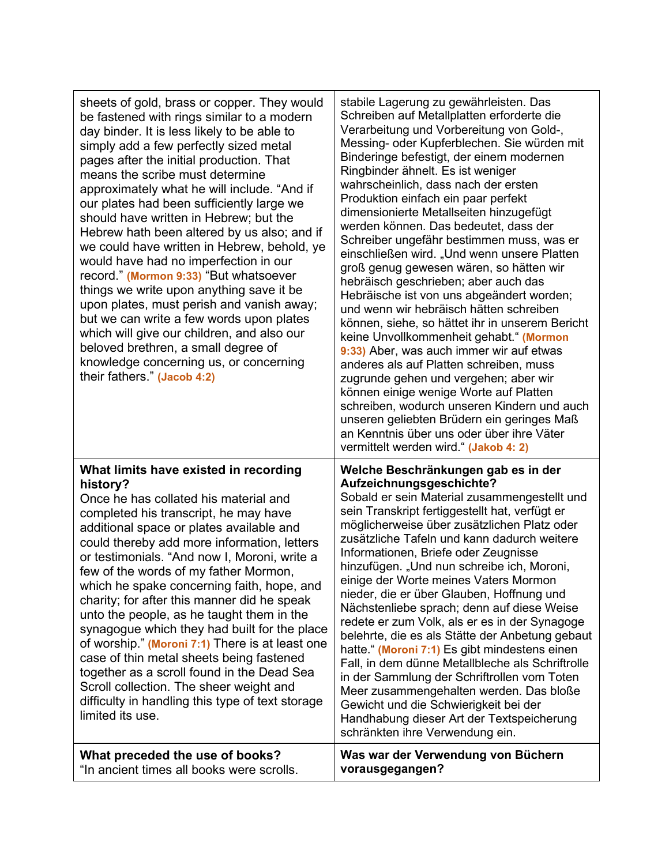| sheets of gold, brass or copper. They would<br>be fastened with rings similar to a modern<br>day binder. It is less likely to be able to<br>simply add a few perfectly sized metal<br>pages after the initial production. That<br>means the scribe must determine<br>approximately what he will include. "And if<br>our plates had been sufficiently large we<br>should have written in Hebrew; but the<br>Hebrew hath been altered by us also; and if<br>we could have written in Hebrew, behold, ye<br>would have had no imperfection in our<br>record." (Mormon 9:33) "But whatsoever<br>things we write upon anything save it be<br>upon plates, must perish and vanish away;<br>but we can write a few words upon plates<br>which will give our children, and also our<br>beloved brethren, a small degree of<br>knowledge concerning us, or concerning<br>their fathers." (Jacob 4:2) | stabile Lagerung zu gewährleisten. Das<br>Schreiben auf Metallplatten erforderte die<br>Verarbeitung und Vorbereitung von Gold-,<br>Messing- oder Kupferblechen. Sie würden mit<br>Binderinge befestigt, der einem modernen<br>Ringbinder ähnelt. Es ist weniger<br>wahrscheinlich, dass nach der ersten<br>Produktion einfach ein paar perfekt<br>dimensionierte Metallseiten hinzugefügt<br>werden können. Das bedeutet, dass der<br>Schreiber ungefähr bestimmen muss, was er<br>einschließen wird. "Und wenn unsere Platten<br>groß genug gewesen wären, so hätten wir<br>hebräisch geschrieben; aber auch das<br>Hebräische ist von uns abgeändert worden;<br>und wenn wir hebräisch hätten schreiben<br>können, siehe, so hättet ihr in unserem Bericht<br>keine Unvollkommenheit gehabt." (Mormon<br>9:33) Aber, was auch immer wir auf etwas<br>anderes als auf Platten schreiben, muss<br>zugrunde gehen und vergehen; aber wir<br>können einige wenige Worte auf Platten<br>schreiben, wodurch unseren Kindern und auch<br>unseren geliebten Brüdern ein geringes Maß<br>an Kenntnis über uns oder über ihre Väter<br>vermittelt werden wird." (Jakob 4: 2) |
|---------------------------------------------------------------------------------------------------------------------------------------------------------------------------------------------------------------------------------------------------------------------------------------------------------------------------------------------------------------------------------------------------------------------------------------------------------------------------------------------------------------------------------------------------------------------------------------------------------------------------------------------------------------------------------------------------------------------------------------------------------------------------------------------------------------------------------------------------------------------------------------------|-----------------------------------------------------------------------------------------------------------------------------------------------------------------------------------------------------------------------------------------------------------------------------------------------------------------------------------------------------------------------------------------------------------------------------------------------------------------------------------------------------------------------------------------------------------------------------------------------------------------------------------------------------------------------------------------------------------------------------------------------------------------------------------------------------------------------------------------------------------------------------------------------------------------------------------------------------------------------------------------------------------------------------------------------------------------------------------------------------------------------------------------------------------------------|
| What limits have existed in recording<br>history?<br>Once he has collated his material and<br>completed his transcript, he may have<br>additional space or plates available and<br>could thereby add more information, letters<br>or testimonials. "And now I, Moroni, write a<br>few of the words of my father Mormon,<br>which he spake concerning faith, hope, and<br>charity; for after this manner did he speak<br>unto the people, as he taught them in the<br>synagogue which they had built for the place<br>of worship." (Moroni 7:1) There is at least one<br>case of thin metal sheets being fastened<br>together as a scroll found in the Dead Sea<br>Scroll collection. The sheer weight and<br>difficulty in handling this type of text storage<br>limited its use.                                                                                                           | Welche Beschränkungen gab es in der<br>Aufzeichnungsgeschichte?<br>Sobald er sein Material zusammengestellt und<br>sein Transkript fertiggestellt hat, verfügt er<br>möglicherweise über zusätzlichen Platz oder<br>zusätzliche Tafeln und kann dadurch weitere<br>Informationen, Briefe oder Zeugnisse<br>hinzufügen. "Und nun schreibe ich, Moroni,<br>einige der Worte meines Vaters Mormon<br>nieder, die er über Glauben, Hoffnung und<br>Nächstenliebe sprach; denn auf diese Weise<br>redete er zum Volk, als er es in der Synagoge<br>belehrte, die es als Stätte der Anbetung gebaut<br>hatte." (Moroni 7:1) Es gibt mindestens einen<br>Fall, in dem dünne Metallbleche als Schriftrolle<br>in der Sammlung der Schriftrollen vom Toten<br>Meer zusammengehalten werden. Das bloße<br>Gewicht und die Schwierigkeit bei der<br>Handhabung dieser Art der Textspeicherung<br>schränkten ihre Verwendung ein.                                                                                                                                                                                                                                                 |
| What preceded the use of books?<br>"In ancient times all books were scrolls.                                                                                                                                                                                                                                                                                                                                                                                                                                                                                                                                                                                                                                                                                                                                                                                                                | Was war der Verwendung von Büchern<br>vorausgegangen?                                                                                                                                                                                                                                                                                                                                                                                                                                                                                                                                                                                                                                                                                                                                                                                                                                                                                                                                                                                                                                                                                                                 |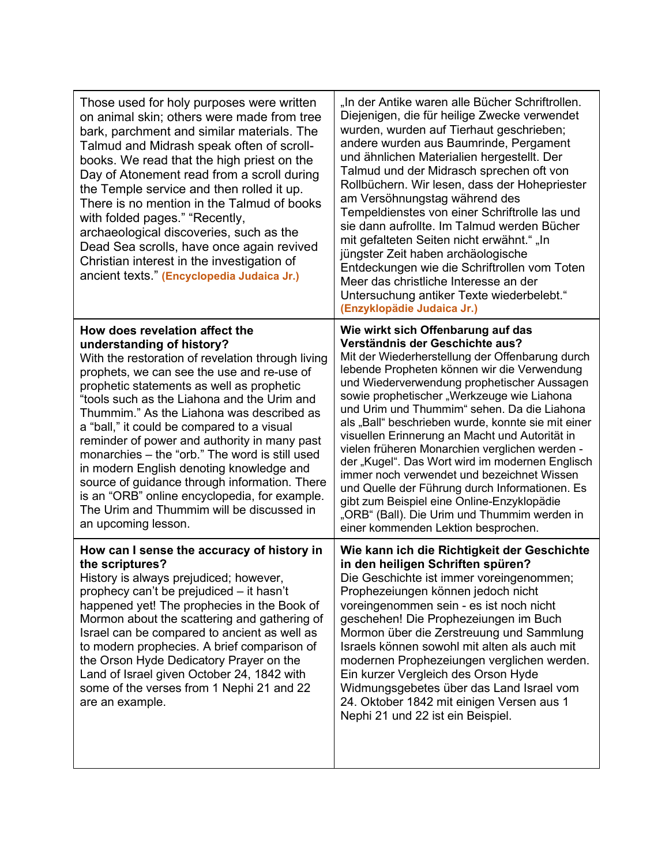| Those used for holy purposes were written<br>on animal skin; others were made from tree<br>bark, parchment and similar materials. The<br>Talmud and Midrash speak often of scroll-<br>books. We read that the high priest on the<br>Day of Atonement read from a scroll during<br>the Temple service and then rolled it up.<br>There is no mention in the Talmud of books<br>with folded pages." "Recently,<br>archaeological discoveries, such as the<br>Dead Sea scrolls, have once again revived<br>Christian interest in the investigation of<br>ancient texts." (Encyclopedia Judaica Jr.)                                                                           | "In der Antike waren alle Bücher Schriftrollen.<br>Diejenigen, die für heilige Zwecke verwendet<br>wurden, wurden auf Tierhaut geschrieben;<br>andere wurden aus Baumrinde, Pergament<br>und ähnlichen Materialien hergestellt. Der<br>Talmud und der Midrasch sprechen oft von<br>Rollbüchern. Wir lesen, dass der Hohepriester<br>am Versöhnungstag während des<br>Tempeldienstes von einer Schriftrolle las und<br>sie dann aufrollte. Im Talmud werden Bücher<br>mit gefalteten Seiten nicht erwähnt." "In<br>jüngster Zeit haben archäologische<br>Entdeckungen wie die Schriftrollen vom Toten<br>Meer das christliche Interesse an der<br>Untersuchung antiker Texte wiederbelebt."<br>(Enzyklopädie Judaica Jr.)                                              |
|---------------------------------------------------------------------------------------------------------------------------------------------------------------------------------------------------------------------------------------------------------------------------------------------------------------------------------------------------------------------------------------------------------------------------------------------------------------------------------------------------------------------------------------------------------------------------------------------------------------------------------------------------------------------------|-----------------------------------------------------------------------------------------------------------------------------------------------------------------------------------------------------------------------------------------------------------------------------------------------------------------------------------------------------------------------------------------------------------------------------------------------------------------------------------------------------------------------------------------------------------------------------------------------------------------------------------------------------------------------------------------------------------------------------------------------------------------------|
| How does revelation affect the<br>understanding of history?<br>With the restoration of revelation through living<br>prophets, we can see the use and re-use of<br>prophetic statements as well as prophetic<br>"tools such as the Liahona and the Urim and<br>Thummim." As the Liahona was described as<br>a "ball," it could be compared to a visual<br>reminder of power and authority in many past<br>monarchies - the "orb." The word is still used<br>in modern English denoting knowledge and<br>source of guidance through information. There<br>is an "ORB" online encyclopedia, for example.<br>The Urim and Thummim will be discussed in<br>an upcoming lesson. | Wie wirkt sich Offenbarung auf das<br>Verständnis der Geschichte aus?<br>Mit der Wiederherstellung der Offenbarung durch<br>lebende Propheten können wir die Verwendung<br>und Wiederverwendung prophetischer Aussagen<br>sowie prophetischer "Werkzeuge wie Liahona<br>und Urim und Thummim" sehen. Da die Liahona<br>als "Ball" beschrieben wurde, konnte sie mit einer<br>visuellen Erinnerung an Macht und Autorität in<br>vielen früheren Monarchien verglichen werden -<br>der "Kugel". Das Wort wird im modernen Englisch<br>immer noch verwendet und bezeichnet Wissen<br>und Quelle der Führung durch Informationen. Es<br>gibt zum Beispiel eine Online-Enzyklopädie<br>"ORB" (Ball). Die Urim und Thummim werden in<br>einer kommenden Lektion besprochen. |
| How can I sense the accuracy of history in<br>the scriptures?<br>History is always prejudiced; however,<br>prophecy can't be prejudiced – it hasn't<br>happened yet! The prophecies in the Book of<br>Mormon about the scattering and gathering of<br>Israel can be compared to ancient as well as<br>to modern prophecies. A brief comparison of<br>the Orson Hyde Dedicatory Prayer on the<br>Land of Israel given October 24, 1842 with<br>some of the verses from 1 Nephi 21 and 22<br>are an example.                                                                                                                                                                | Wie kann ich die Richtigkeit der Geschichte<br>in den heiligen Schriften spüren?<br>Die Geschichte ist immer voreingenommen;<br>Prophezeiungen können jedoch nicht<br>voreingenommen sein - es ist noch nicht<br>geschehen! Die Prophezeiungen im Buch<br>Mormon über die Zerstreuung und Sammlung<br>Israels können sowohl mit alten als auch mit<br>modernen Prophezeiungen verglichen werden.<br>Ein kurzer Vergleich des Orson Hyde<br>Widmungsgebetes über das Land Israel vom<br>24. Oktober 1842 mit einigen Versen aus 1<br>Nephi 21 und 22 ist ein Beispiel.                                                                                                                                                                                                 |